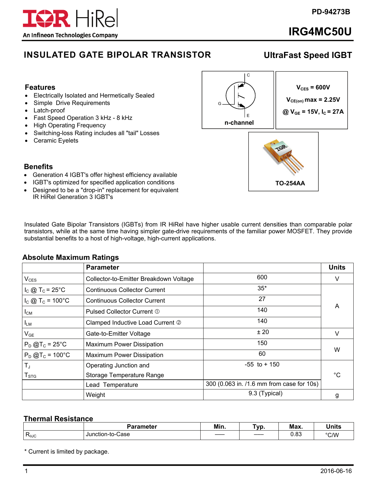

# **IRG4MC50U**

## **INSULATED GATE BIPOLAR TRANSISTOR**

## **UltraFast Speed IGBT**

#### **Features**

- Electrically Isolated and Hermetically Sealed
- Simple Drive Requirements
- Latch-proof
- Fast Speed Operation 3 kHz 8 kHz
- High Operating Frequency
- Switching-loss Rating includes all "tail" Losses
- Ceramic Eyelets



**TO-254AA** 

## **Benefits**

- Generation 4 IGBT's offer highest efficiency available
- IGBT's optimized for specified application conditions
- Designed to be a "drop-in" replacement for equivalent IR HiRel Generation 3 IGBT's

Insulated Gate Bipolar Transistors (IGBTs) from IR HiRel have higher usable current densities than comparable polar transistors, while at the same time having simpler gate-drive requirements of the familiar power MOSFET. They provide substantial benefits to a host of high-voltage, high-current applications.

## **Absolute Maximum Ratings**

|                                 | <b>Parameter</b>                       |                                           | <b>Units</b> |
|---------------------------------|----------------------------------------|-------------------------------------------|--------------|
| $V_{CES}$                       | Collector-to-Emitter Breakdown Voltage | 600                                       | V            |
| $I_c \otimes T_c = 25^{\circ}C$ | <b>Continuous Collector Current</b>    | $35*$                                     |              |
| $I_c$ @ T <sub>c</sub> = 100°C  | <b>Continuous Collector Current</b>    | 27                                        |              |
| $I_{CM}$                        | Pulsed Collector Current 1             | 140                                       | A            |
| I <sub>LM</sub>                 | Clamped Inductive Load Current 2       | 140                                       |              |
| $V_{GE}$                        | Gate-to-Emitter Voltage                | ± 20                                      | V            |
| $P_D$ @T <sub>c</sub> = 25°C    | <b>Maximum Power Dissipation</b>       | 150                                       | W            |
| $P_D$ @T <sub>c</sub> = 100°C   | <b>Maximum Power Dissipation</b>       | 60                                        |              |
| $T_{J}$                         | Operating Junction and                 | $-55$ to $+150$                           |              |
| $T_{\text{STG}}$                | Storage Temperature Range              |                                           | °C           |
|                                 | Lead Temperature                       | 300 (0.063 in. /1.6 mm from case for 10s) |              |
|                                 | Weight                                 | 9.3 (Typical)                             | g            |

#### **Thermal Resistance**

|                             | Parameter                  | Min.          | ٦v<br>/ M | Max.       | . .<br><b>Jnits</b> |
|-----------------------------|----------------------------|---------------|-----------|------------|---------------------|
| -<br>. .<br>$R_{\theta}$ JC | Jur<br>เction-to-(<br>Case | ____<br>_____ | $-$       | ററ<br>u.uu | °C/W                |

\* Current is limited by package.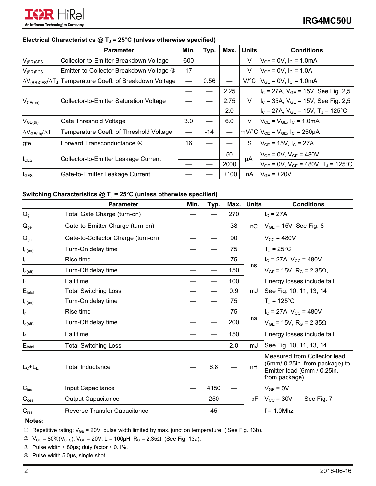

#### Electrical Characteristics @ T<sub>J</sub> = 25°C (unless otherwise specified)

|                                 | <b>Parameter</b>                         | Min.                     | Typ.  | Max. | <b>Units</b>         | <b>Conditions</b>                                             |
|---------------------------------|------------------------------------------|--------------------------|-------|------|----------------------|---------------------------------------------------------------|
| $V_{(BR)CES}$                   | Collector-to-Emitter Breakdown Voltage   | 600                      |       |      | V                    | $V_{GE}$ = 0V, $I_C$ = 1.0mA                                  |
| $V_{(BR)ECS}$                   | Emitter-to-Collector Breakdown Voltage 3 | 17                       |       |      | V                    | $V_{GE}$ = 0V, $I_C$ = 1.0A                                   |
| $\Delta V_{(BR)CES}/\Delta T_J$ | Temperature Coeff. of Breakdown Voltage  | $\overline{\phantom{0}}$ | 0.56  |      | $V$ <sup>o</sup> $C$ | $V_{GE}$ = 0V, $I_C$ = 1.0mA                                  |
| $V_{CE(on)}$                    | Collector-to-Emitter Saturation Voltage  |                          |       | 2.25 | $\vee$               | $I_{\text{C}}$ = 27A, $V_{\text{GE}}$ = 15V, See Fig. 2,5     |
|                                 |                                          |                          |       | 2.75 |                      | $I_{\rm C}$ = 35A, $V_{\rm GE}$ = 15V, See Fig. 2,5           |
|                                 |                                          |                          |       | 2.0  |                      | $ I_C = 27A, V_{GE} = 15V, T_J = 125^{\circ}C$                |
| $V_{GE(th)}$                    | Gate Threshold Voltage                   | 3.0                      |       | 6.0  | V                    | $V_{CE} = V_{GE}$ , $I_C = 1.0 \text{mA}$                     |
| $\Delta V_{GE(th)}/\Delta T_J$  | Temperature Coeff. of Threshold Voltage  |                          | $-14$ |      |                      | $ mV ^{\circ}C V_{CE} = V_{GE}$ , $I_C = 250\mu A$            |
| gfe                             | Forward Transconductance 4               | 16                       |       |      | S                    | $V_{CE}$ = 15V, $I_C$ = 27A                                   |
| $I_{\text{CES}}$                | Collector-to-Emitter Leakage Current     |                          |       | 50   | μA                   | $V_{GE}$ = 0V, $V_{CE}$ = 480V                                |
|                                 |                                          |                          |       | 2000 |                      | $V_{GE}$ = 0V, V <sub>CE</sub> = 480V, T <sub>J</sub> = 125°C |
| $I_{\text{GES}}$                | Gate-to-Emitter Leakage Current          |                          |       | ±100 | nA                   | $V_{GE}$ = $\pm 20V$                                          |

## Switching Characteristics @ T<sub>J</sub> = 25°C (unless otherwise specified)

|                                        | <b>Parameter</b>                   | Min. | Typ. | Max. | <b>Units</b> | <b>Conditions</b>                                                                                              |
|----------------------------------------|------------------------------------|------|------|------|--------------|----------------------------------------------------------------------------------------------------------------|
| $\mathsf{Q}_{\mathsf{g}}$              | Total Gate Charge (turn-on)        |      |      | 270  |              | $I_{C}$ = 27A                                                                                                  |
| $Q_{ge}$                               | Gate-to-Emitter Charge (turn-on)   |      |      | 38   | nC           | $V_{GE}$ = 15V See Fig. 8                                                                                      |
| $Q_{\rm gc}$                           | Gate-to-Collector Charge (turn-on) |      |      | 90   |              | $V_{\text{CC}}$ = 480V                                                                                         |
| $\mathsf{t}_{\mathsf{d}(\mathsf{on})}$ | Turn-On delay time                 |      |      | 75   |              | $T_J = 25^{\circ}C$                                                                                            |
| t <sub>r</sub>                         | Rise time                          |      |      | 75   |              | $I_{C}$ = 27A, $V_{CC}$ = 480V                                                                                 |
| $t_{d(\mathrm{off})}$                  | Turn-Off delay time                |      |      | 150  | ns           | $V_{GE}$ = 15V, R <sub>G</sub> = 2.35 $\Omega$ ,                                                               |
| t <sub>f</sub>                         | <b>Fall time</b>                   |      |      | 100  |              | Energy losses include tail                                                                                     |
| $E_{total}$                            | <b>Total Switching Loss</b>        |      |      | 0.9  | mJ           | See Fig. 10, 11, 13, 14                                                                                        |
| $\mathsf{t}_{\mathsf{d}(\mathsf{on})}$ | Turn-On delay time                 |      |      | 75   |              | $T_J = 125$ °C                                                                                                 |
| t <sub>r</sub>                         | Rise time                          |      |      | 75   |              | $I_{\rm C}$ = 27A, V <sub>cc</sub> = 480V                                                                      |
| $t_{d(\mathrm{off})}$                  | Turn-Off delay time                |      |      | 200  | ns           | $V_{GE}$ = 15V, R <sub>G</sub> = 2.35 $\Omega$                                                                 |
| $\mathfrak{t}_{\mathsf{f}}$            | <b>Fall time</b>                   |      |      | 150  |              | Energy losses include tail                                                                                     |
| $E_{total}$                            | <b>Total Switching Loss</b>        |      |      | 2.0  | mJ           | See Fig. 10, 11, 13, 14                                                                                        |
| l∟ <sub>c</sub> +L <sub>E</sub>        | <b>Total Inductance</b>            |      | 6.8  |      | nH           | Measured from Collector lead<br>(6mm/ 0.25in. from package) to<br>Emitter lead (6mm / 0.25in.<br>from package) |
| $C_{\text{ies}}$                       | Input Capacitance                  |      | 4150 |      |              | $V_{GE} = 0V$                                                                                                  |
| $C_{\text{oes}}$                       | <b>Output Capacitance</b>          |      | 250  |      | pF           | $V_{\text{CC}}$ = 30V<br>See Fig. 7                                                                            |
| $C_{res}$                              | Reverse Transfer Capacitance       |      | 45   |      |              | $f = 1.0$ Mhz                                                                                                  |

**Notes:** 

 $\textcircled{1}$  Repetitive rating; V<sub>GE</sub> = 20V, pulse width limited by max. junction temperature. (See Fig. 13b).

 $V_{\text{CC}}$  = 80%(V<sub>CES</sub>), V<sub>GE</sub> = 20V, L = 100μH, R<sub>G</sub> = 2.35Ω, (See Fig. 13a).

**9** Pulse width  $\leq$  80µs; duty factor  $\leq$  0.1%.

Pulse width 5.0µs, single shot.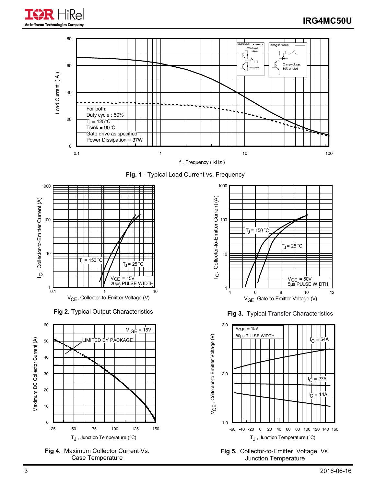







**Fig 4.** Maximum Collector Current Vs. Case Temperature



**Fig 2.** Typical Output Characteristics **Fig 3.** Typical Transfer Characteristics

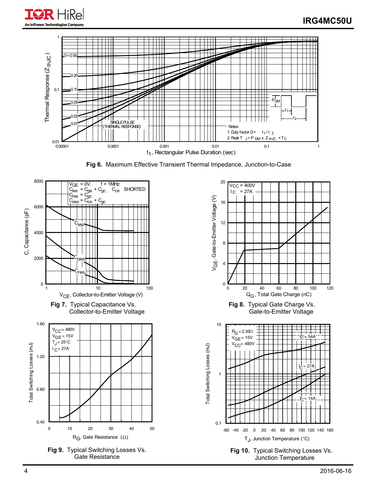



**Fig 6.** Maximum Effective Transient Thermal Impedance, Junction-to-Case

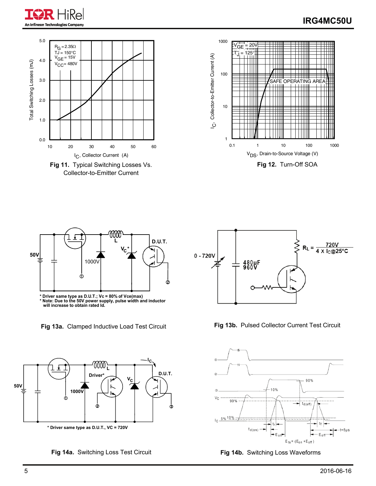

## **IRG4MC50U**





**<sup>\*</sup> Driver same type as D.U.T.; Vc = 80% of Vce(max) \* Note: Due to the 50V power supply, pulse width and inductor will increase to obtain rated Id.**



**Fig 14a.** Switching Loss Test Circuit **Fig 14b.** Switching Loss Waveforms



Fig 13a. Clamped Inductive Load Test Circuit Fig 13b. Pulsed Collector Current Test Circuit



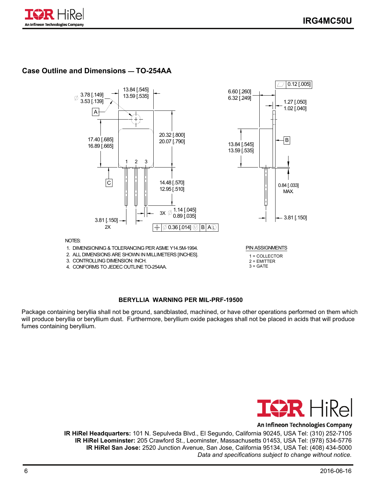

### **Case Outline and Dimensions — TO-254AA**



#### **BERYLLIA WARNING PER MIL-PRF-19500**

Package containing beryllia shall not be ground, sandblasted, machined, or have other operations performed on them which will produce beryllia or beryllium dust. Furthermore, beryllium oxide packages shall not be placed in acids that will produce fumes containing beryllium.



#### An Infineon Technologies Company

**IR HiRel Headquarters:** 101 N. Sepulveda Blvd., El Segundo, California 90245, USA Tel: (310) 252-7105 **IR HiRel Leominster:** 205 Crawford St., Leominster, Massachusetts 01453, USA Tel: (978) 534-5776 **IR HiRel San Jose:** 2520 Junction Avenue, San Jose, California 95134, USA Tel: (408) 434-5000  *Data and specifications subject to change without notice.*